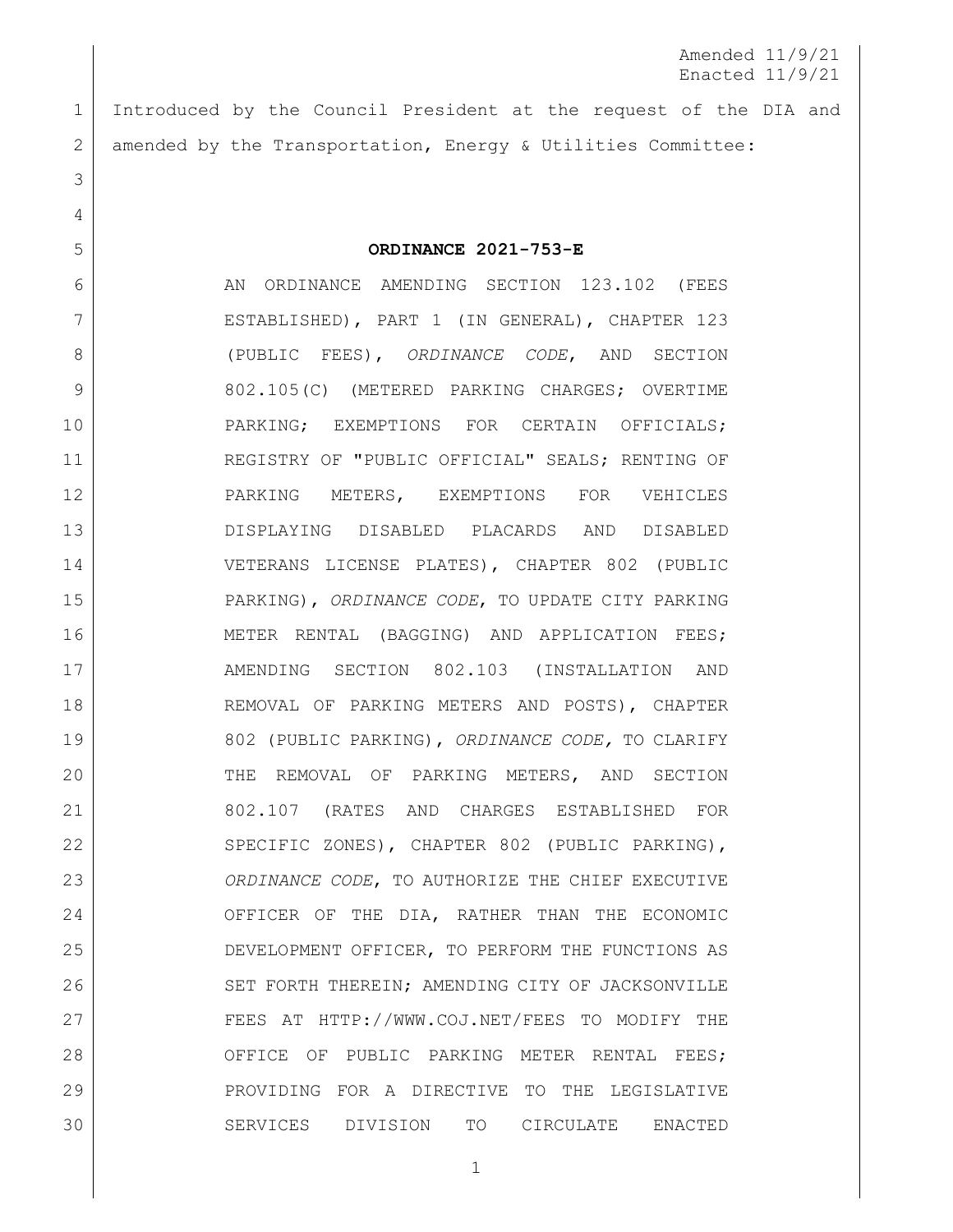Amended 11/9/21 Enacted 11/9/21

1 Introduced by the Council President at the request of the DIA and 2 amended by the Transportation, Energy & Utilities Committee:

3

4

5 **ORDINANCE 2021-753-E**

6 AN ORDINANCE AMENDING SECTION 123.102 (FEES 7 ESTABLISHED), PART 1 (IN GENERAL), CHAPTER 123 8 (PUBLIC FEES), *ORDINANCE CODE*, AND SECTION 9 802.105(C) (METERED PARKING CHARGES; OVERTIME 10 | PARKING; EXEMPTIONS FOR CERTAIN OFFICIALS; 11 REGISTRY OF "PUBLIC OFFICIAL" SEALS; RENTING OF 12 PARKING METERS, EXEMPTIONS FOR VEHICLES 13 DISPLAYING DISABLED PLACARDS AND DISABLED 14 VETERANS LICENSE PLATES), CHAPTER 802 (PUBLIC 15 PARKING), *ORDINANCE CODE*, TO UPDATE CITY PARKING 16 | METER RENTAL (BAGGING) AND APPLICATION FEES; 17 AMENDING SECTION 802.103 (INSTALLATION AND 18 REMOVAL OF PARKING METERS AND POSTS), CHAPTER 19 802 (PUBLIC PARKING), *ORDINANCE CODE,* TO CLARIFY 20 THE REMOVAL OF PARKING METERS, AND SECTION 21 802.107 (RATES AND CHARGES ESTABLISHED FOR 22 SPECIFIC ZONES), CHAPTER 802 (PUBLIC PARKING), 23 *ORDINANCE CODE*, TO AUTHORIZE THE CHIEF EXECUTIVE 24 OFFICER OF THE DIA, RATHER THAN THE ECONOMIC 25 DEVELOPMENT OFFICER, TO PERFORM THE FUNCTIONS AS 26 SET FORTH THEREIN; AMENDING CITY OF JACKSONVILLE 27 FEES AT [HTTP://WWW.COJ.NET/FEES](http://www.coj.net/fees) TO MODIFY THE 28 OFFICE OF PUBLIC PARKING METER RENTAL FEES; 29 PROVIDING FOR A DIRECTIVE TO THE LEGISLATIVE 30 SERVICES DIVISION TO CIRCULATE ENACTED

1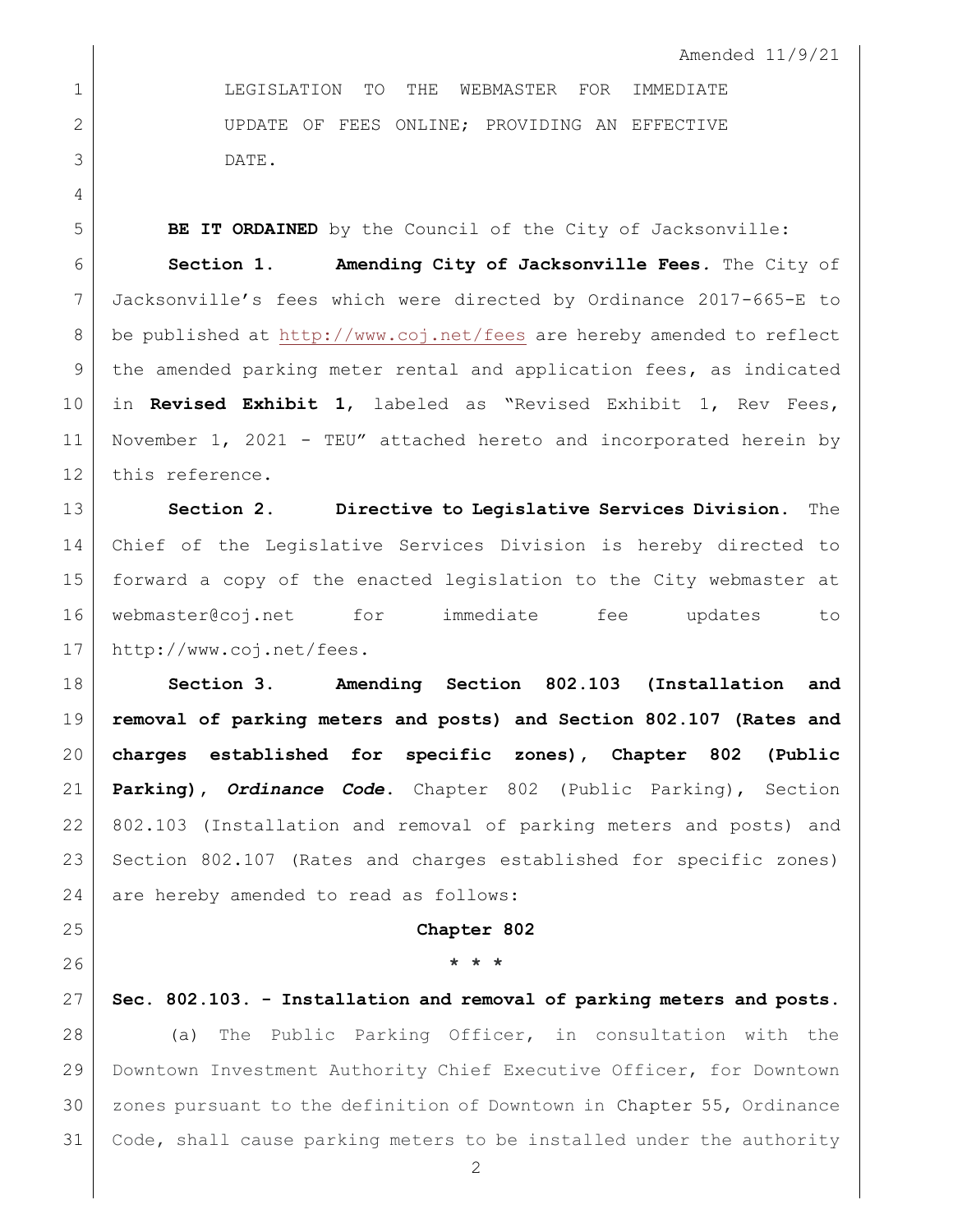Amended 11/9/21

 LEGISLATION TO THE WEBMASTER FOR IMMEDIATE 2 UPDATE OF FEES ONLINE; PROVIDING AN EFFECTIVE DATE.

**BE IT ORDAINED** by the Council of the City of Jacksonville:

 **Section 1. Amending City of Jacksonville Fees***.* The City of Jacksonville's fees which were directed by Ordinance 2017-665-E to be published at<http://www.coj.net/fees> are hereby amended to reflect the amended parking meter rental and application fees, as indicated in **Revised Exhibit 1**, labeled as "Revised Exhibit 1, Rev Fees, November 1, 2021 - TEU" attached hereto and incorporated herein by 12 this reference.

 **Section 2. Directive to Legislative Services Division.** The Chief of the Legislative Services Division is hereby directed to forward a copy of the enacted legislation to the City webmaster at [webmaster@coj.net](mailto:webmaster@coj.net) for immediate fee updates to [http://www.coj.net/fees.](http://www.coj.net/fees)

 **Section 3. Amending Section 802.103 (Installation and removal of parking meters and posts) and Section 802.107 (Rates and charges established for specific zones), Chapter 802 (Public Parking),** *Ordinance Code***.** Chapter 802 (Public Parking), Section 802.103 (Installation and removal of parking meters and posts) and Section 802.107 (Rates and charges established for specific zones) 24 are hereby amended to read as follows:

## **Chapter 802**

# **\* \* \***

 **Sec. 802.103. - Installation and removal of parking meters and posts.** (a) The Public Parking Officer, in consultation with the Downtown Investment Authority Chief Executive Officer, for Downtown zones pursuant to the definition of Downtown in [Chapter 55,](https://library.municode.com/fl/jacksonville/codes/code_of_ordinances?nodeId=TITIVBOCO_CH55DOINAU) Ordinance Code, shall cause parking meters to be installed under the authority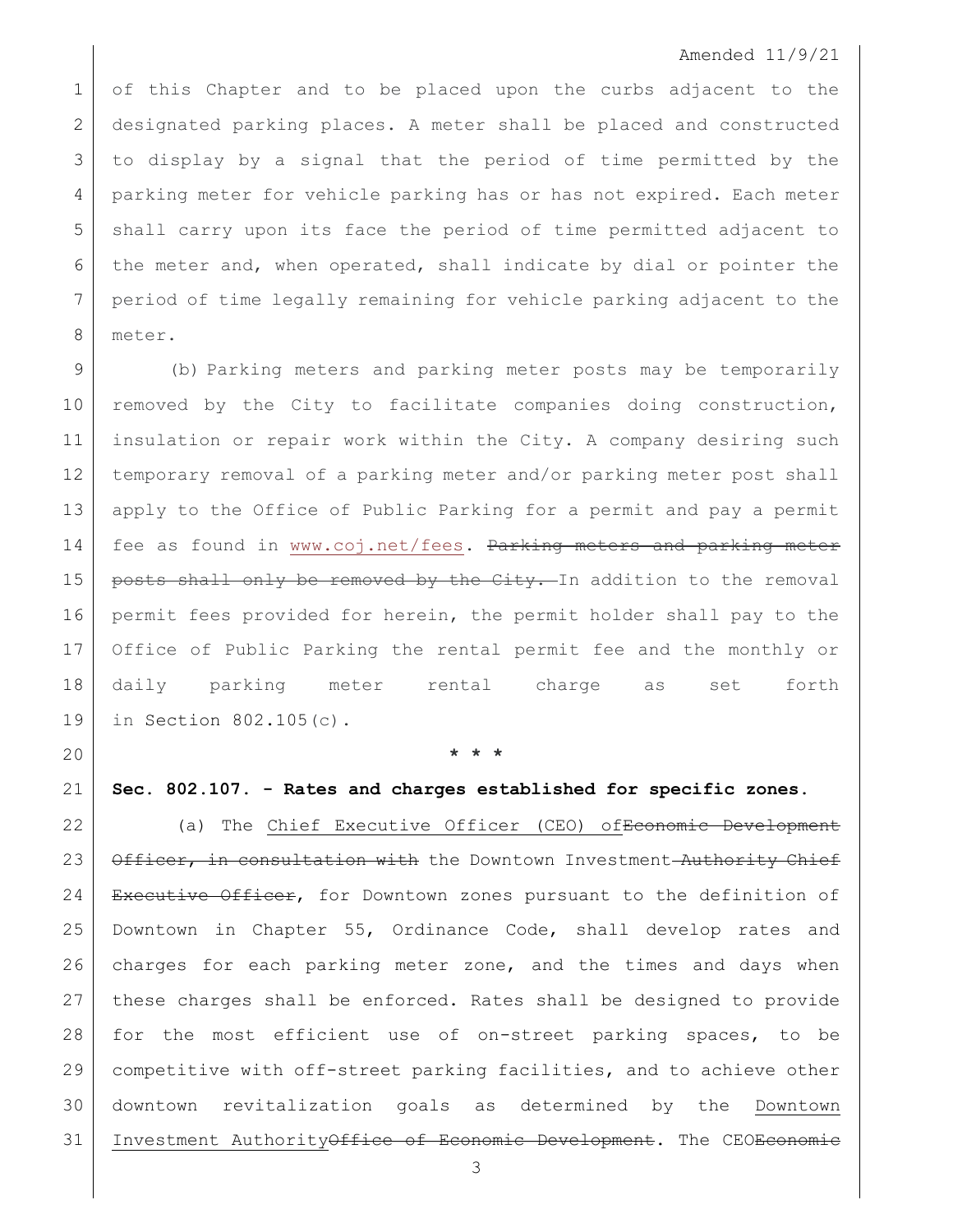#### Amended 11/9/21

 of this Chapter and to be placed upon the curbs adjacent to the designated parking places. A meter shall be placed and constructed to display by a signal that the period of time permitted by the parking meter for vehicle parking has or has not expired. Each meter shall carry upon its face the period of time permitted adjacent to the meter and, when operated, shall indicate by dial or pointer the period of time legally remaining for vehicle parking adjacent to the meter.

 (b) Parking meters and parking meter posts may be temporarily 10 removed by the City to facilitate companies doing construction, insulation or repair work within the City. A company desiring such temporary removal of a parking meter and/or parking meter post shall apply to the Office of Public Parking for a permit and pay a permit 14 | fee as found in [www.coj.net/fees.](http://www.coj.net/fees) <del>Parking meters and parking meter</del> 15 | posts shall only be removed by the City. In addition to the removal permit fees provided for herein, the permit holder shall pay to the Office of Public Parking the rental permit fee and the monthly or daily parking meter rental charge as set forth in Section [802.105\(](https://library.municode.com/fl/jacksonville/codes/code_of_ordinances?nodeId=TITXXIIITRPA_CH802PUPA_S802.105MEPACHOVPAEXCEOFREPUOFSEREPAMEEXVEDIDIPLDIVELIPL)c).

**\* \* \***

## **Sec. 802.107. - Rates and charges established for specific zones.**

22 | (a) The Chief Executive Officer (CEO) of Economic Development 23 Officer, in consultation with the Downtown Investment Authority Chief 24 Executive Officer, for Downtown zones pursuant to the definition of Downtown in Chapter 55, Ordinance Code, shall develop rates and 26 charges for each parking meter zone, and the times and days when these charges shall be enforced. Rates shall be designed to provide for the most efficient use of on-street parking spaces, to be competitive with off-street parking facilities, and to achieve other downtown revitalization goals as determined by the Downtown 31 | Investment Authority<del>Office of Economic Development</del>. The CEO<del>Economic</del>